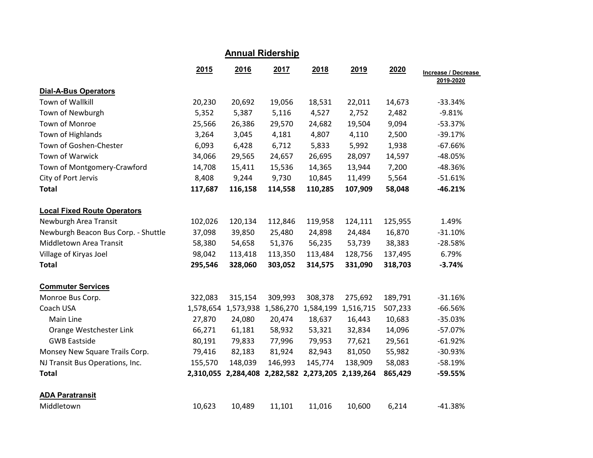| <b>Annual Ridership</b>             |           |                               |                                         |         |                     |         |                                  |  |  |
|-------------------------------------|-----------|-------------------------------|-----------------------------------------|---------|---------------------|---------|----------------------------------|--|--|
|                                     | 2015      | 2016                          | 2017                                    | 2018    | 2019                | 2020    | Increase / Decrease<br>2019-2020 |  |  |
| <b>Dial-A-Bus Operators</b>         |           |                               |                                         |         |                     |         |                                  |  |  |
| Town of Wallkill                    | 20,230    | 20,692                        | 19,056                                  | 18,531  | 22,011              | 14,673  | $-33.34%$                        |  |  |
| Town of Newburgh                    | 5,352     | 5,387                         | 5,116                                   | 4,527   | 2,752               | 2,482   | $-9.81%$                         |  |  |
| Town of Monroe                      | 25,566    | 26,386                        | 29,570                                  | 24,682  | 19,504              | 9,094   | $-53.37%$                        |  |  |
| Town of Highlands                   | 3,264     | 3,045                         | 4,181                                   | 4,807   | 4,110               | 2,500   | $-39.17%$                        |  |  |
| Town of Goshen-Chester              | 6,093     | 6,428                         | 6,712                                   | 5,833   | 5,992               | 1,938   | $-67.66%$                        |  |  |
| Town of Warwick                     | 34,066    | 29,565                        | 24,657                                  | 26,695  | 28,097              | 14,597  | $-48.05%$                        |  |  |
| Town of Montgomery-Crawford         | 14,708    | 15,411                        | 15,536                                  | 14,365  | 13,944              | 7,200   | -48.36%                          |  |  |
| City of Port Jervis                 | 8,408     | 9,244                         | 9,730                                   | 10,845  | 11,499              | 5,564   | $-51.61%$                        |  |  |
| <b>Total</b>                        | 117,687   | 116,158                       | 114,558                                 | 110,285 | 107,909             | 58,048  | $-46.21%$                        |  |  |
| <b>Local Fixed Route Operators</b>  |           |                               |                                         |         |                     |         |                                  |  |  |
| Newburgh Area Transit               | 102,026   | 120,134                       | 112,846                                 | 119,958 | 124,111             | 125,955 | 1.49%                            |  |  |
| Newburgh Beacon Bus Corp. - Shuttle | 37,098    | 39,850                        | 25,480                                  | 24,898  | 24,484              | 16,870  | $-31.10%$                        |  |  |
| Middletown Area Transit             | 58,380    | 54,658                        | 51,376                                  | 56,235  | 53,739              | 38,383  | $-28.58%$                        |  |  |
| Village of Kiryas Joel              | 98,042    | 113,418                       | 113,350                                 | 113,484 | 128,756             | 137,495 | 6.79%                            |  |  |
| <b>Total</b>                        | 295,546   | 328,060                       | 303,052                                 | 314,575 | 331,090             | 318,703 | $-3.74%$                         |  |  |
| <b>Commuter Services</b>            |           |                               |                                         |         |                     |         |                                  |  |  |
| Monroe Bus Corp.                    | 322,083   | 315,154                       | 309,993                                 | 308,378 | 275,692             | 189,791 | $-31.16%$                        |  |  |
| Coach USA                           | 1,578,654 |                               | 1,573,938 1,586,270 1,584,199 1,516,715 |         |                     | 507,233 | $-66.56%$                        |  |  |
| Main Line                           | 27,870    | 24,080                        | 20,474                                  | 18,637  | 16,443              | 10,683  | $-35.03%$                        |  |  |
| Orange Westchester Link             | 66,271    | 61,181                        | 58,932                                  | 53,321  | 32,834              | 14,096  | $-57.07%$                        |  |  |
| <b>GWB Eastside</b>                 | 80,191    | 79,833                        | 77,996                                  | 79,953  | 77,621              | 29,561  | $-61.92%$                        |  |  |
| Monsey New Square Trails Corp.      | 79,416    | 82,183                        | 81,924                                  | 82,943  | 81,050              | 55,982  | $-30.93%$                        |  |  |
| NJ Transit Bus Operations, Inc.     | 155,570   | 148,039                       | 146,993                                 | 145,774 | 138,909             | 58,083  | $-58.19%$                        |  |  |
| <b>Total</b>                        |           | 2,310,055 2,284,408 2,282,582 |                                         |         | 2,273,205 2,139,264 | 865,429 | -59.55%                          |  |  |
| <b>ADA Paratransit</b>              |           |                               |                                         |         |                     |         |                                  |  |  |
| Middletown                          | 10,623    | 10,489                        | 11,101                                  | 11,016  | 10,600              | 6,214   | $-41.38%$                        |  |  |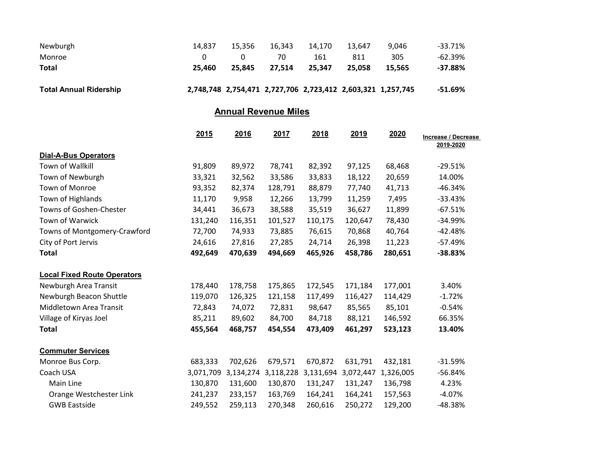| Newburgh                      | 14.837 | 15.356 | 16.343                                                      | 14.170 | 13.647 | 9.046  | -33.71%    |
|-------------------------------|--------|--------|-------------------------------------------------------------|--------|--------|--------|------------|
| Monroe                        |        |        | 70                                                          | 161    | 811    | 305    | -62.39%    |
| <b>Total</b>                  | 25.460 | 25.845 | 27.514                                                      | 25.347 | 25.058 | 15.565 | $-37.88\%$ |
|                               |        |        |                                                             |        |        |        |            |
| <b>Total Annual Ridership</b> |        |        | 2,748,748 2,754,471 2,727,706 2,723,412 2,603,321 1,257,745 |        |        |        | -51.69%    |

## Annual Revenue Miles

|                                    | 2015      | 2016      | 2017      | 2018      | <u>2019</u> | 2020      | Increase / Decrease<br>2019-2020 |
|------------------------------------|-----------|-----------|-----------|-----------|-------------|-----------|----------------------------------|
| <b>Dial-A-Bus Operators</b>        |           |           |           |           |             |           |                                  |
| Town of Wallkill                   | 91,809    | 89,972    | 78,741    | 82,392    | 97,125      | 68,468    | $-29.51%$                        |
| Town of Newburgh                   | 33,321    | 32,562    | 33,586    | 33,833    | 18,122      | 20,659    | 14.00%                           |
| Town of Monroe                     | 93,352    | 82,374    | 128,791   | 88,879    | 77,740      | 41,713    | $-46.34%$                        |
| Town of Highlands                  | 11,170    | 9,958     | 12,266    | 13,799    | 11,259      | 7,495     | $-33.43%$                        |
| Towns of Goshen-Chester            | 34,441    | 36,673    | 38,588    | 35,519    | 36,627      | 11,899    | $-67.51%$                        |
| Town of Warwick                    | 131,240   | 116,351   | 101,527   | 110,175   | 120,647     | 78,430    | $-34.99%$                        |
| Towns of Montgomery-Crawford       | 72,700    | 74,933    | 73,885    | 76,615    | 70,868      | 40,764    | $-42.48%$                        |
| City of Port Jervis                | 24,616    | 27,816    | 27,285    | 24,714    | 26,398      | 11,223    | $-57.49%$                        |
| <b>Total</b>                       | 492,649   | 470,639   | 494,669   | 465,926   | 458,786     | 280,651   | $-38.83%$                        |
| <b>Local Fixed Route Operators</b> |           |           |           |           |             |           |                                  |
| Newburgh Area Transit              | 178,440   | 178,758   | 175,865   | 172,545   | 171,184     | 177,001   | 3.40%                            |
| Newburgh Beacon Shuttle            | 119,070   | 126,325   | 121,158   | 117,499   | 116,427     | 114,429   | $-1.72%$                         |
| Middletown Area Transit            | 72,843    | 74,072    | 72,831    | 98,647    | 85,565      | 85,101    | $-0.54%$                         |
| Village of Kiryas Joel             | 85,211    | 89,602    | 84,700    | 84,718    | 88,121      | 146,592   | 66.35%                           |
| <b>Total</b>                       | 455,564   | 468,757   | 454,554   | 473,409   | 461,297     | 523,123   | 13.40%                           |
| <b>Commuter Services</b>           |           |           |           |           |             |           |                                  |
| Monroe Bus Corp.                   | 683,333   | 702,626   | 679,571   | 670,872   | 631,791     | 432,181   | $-31.59%$                        |
| Coach USA                          | 3,071,709 | 3,134,274 | 3,118,228 | 3,131,694 | 3,072,447   | 1,326,005 | $-56.84%$                        |
| Main Line                          | 130,870   | 131,600   | 130,870   | 131,247   | 131,247     | 136,798   | 4.23%                            |
| Orange Westchester Link            | 241,237   | 233,157   | 163,769   | 164,241   | 164,241     | 157,563   | $-4.07%$                         |
| <b>GWB Eastside</b>                | 249,552   | 259,113   | 270,348   | 260,616   | 250,272     | 129,200   | -48.38%                          |